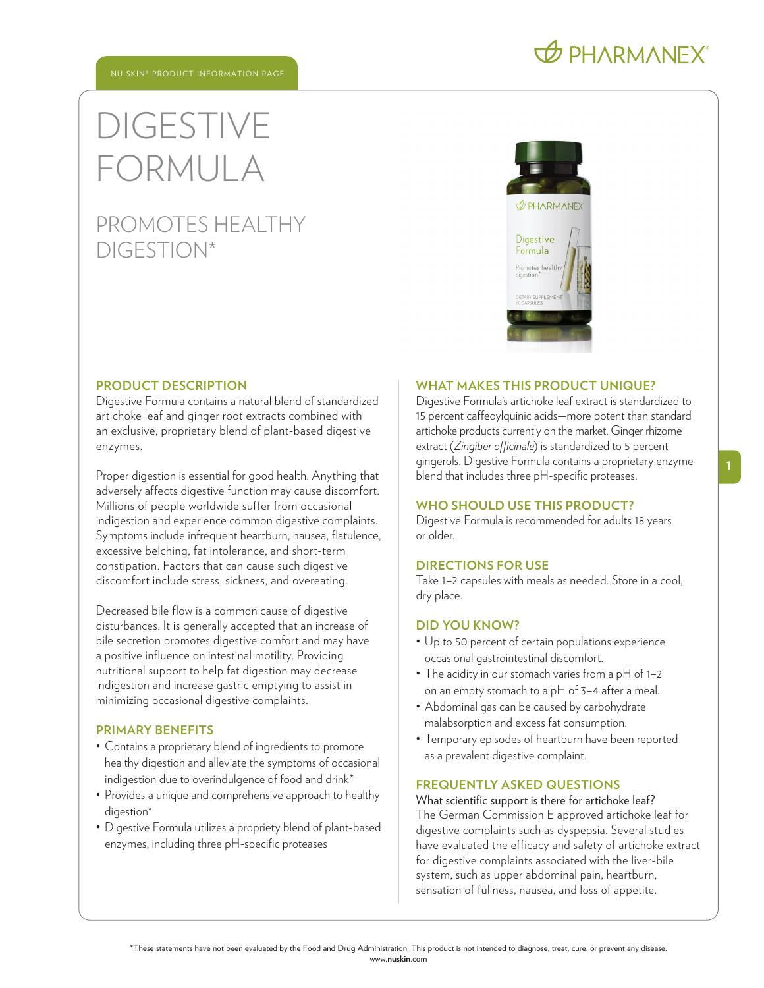# DIGESTIVE FORMULA

### PROMOTES HEALTHY DIGESTION\*



#### **PRODUCT DESCRIPTION**

Digestive Formula contains a natural blend of standardized artichoke leaf and ginger root extracts combined with an exclusive, proprietary blend of plant-based digestive enzymes.

Proper digestion is essential for good health. Anything that adversely affects digestive function may cause discomfort. Millions of people worldwide suffer from occasional indigestion and experience common digestive complaints. Symptoms include infrequent heartburn, nausea, flatulence, excessive belching, fat intolerance, and short-term constipation. Factors that can cause such digestive discomfort include stress, sickness, and overeating.

Decreased bile flow is a common cause of digestive disturbances. It is generally accepted that an increase of bile secretion promotes digestive comfort and may have a positive influence on intestinal motility. Providing nutritional support to help fat digestion may decrease indigestion and increase gastric emptying to assist in minimizing occasional digestive complaints.

#### **PRIMARY BENEFITS**

- Contains a proprietary blend of ingredients to promote healthy digestion and alleviate the symptoms of occasional indigestion due to overindulgence of food and drink\*
- Provides a unique and comprehensive approach to healthy digestion\*
- Digestive Formula utilizes a propriety blend of plant-based enzymes, including three pH-specific proteases

#### **WHAT MAKES THIS PRODUCT UNIQUE?**

Digestive Formula' s artichoke leaf extract is standardized to 15 percent caffeoylquinic acids—more potent than standard artichoke products currently on the market. Ginger rhizome extract (*Zingiber officinale*) is standardized to 5 percent gingerols. Digestive Formula contains a proprietary enzyme blend that includes three pH-specific proteases.

#### **WHO SHOULD USE THIS PRODUCT?**

Digestive Formula is recommended for adults 18 years or older.

#### **DIRECTIONS FOR USE**

Take 1–2 capsules with meals as needed. Store in a cool, dry place.

#### **DID YOU KNOW?**

- Up to 50 percent of certain populations experience occasional gastrointestinal discomfort.
- The acidity in our stomach varies from a pH of 1-2 on an empty stomach to a pH of 3–4 after a meal.
- Abdominal gas can be caused by carbohydrate malabsorption and excess fat consumption.
- Temporary episodes of heartburn have been reported as a prevalent digestive complaint.

#### **FREQUENTLY ASKED QUESTIONS**

What scientific support is there for artichoke leaf? The German Commission E approved artichoke leaf for digestive complaints such as dyspepsia. Several studies have evaluated the efficacy and safety of artichoke extract for digestive complaints associated with the liver-bile system, such as upper abdominal pain, heartburn, sensation of fullness, nausea, and loss of appetite.